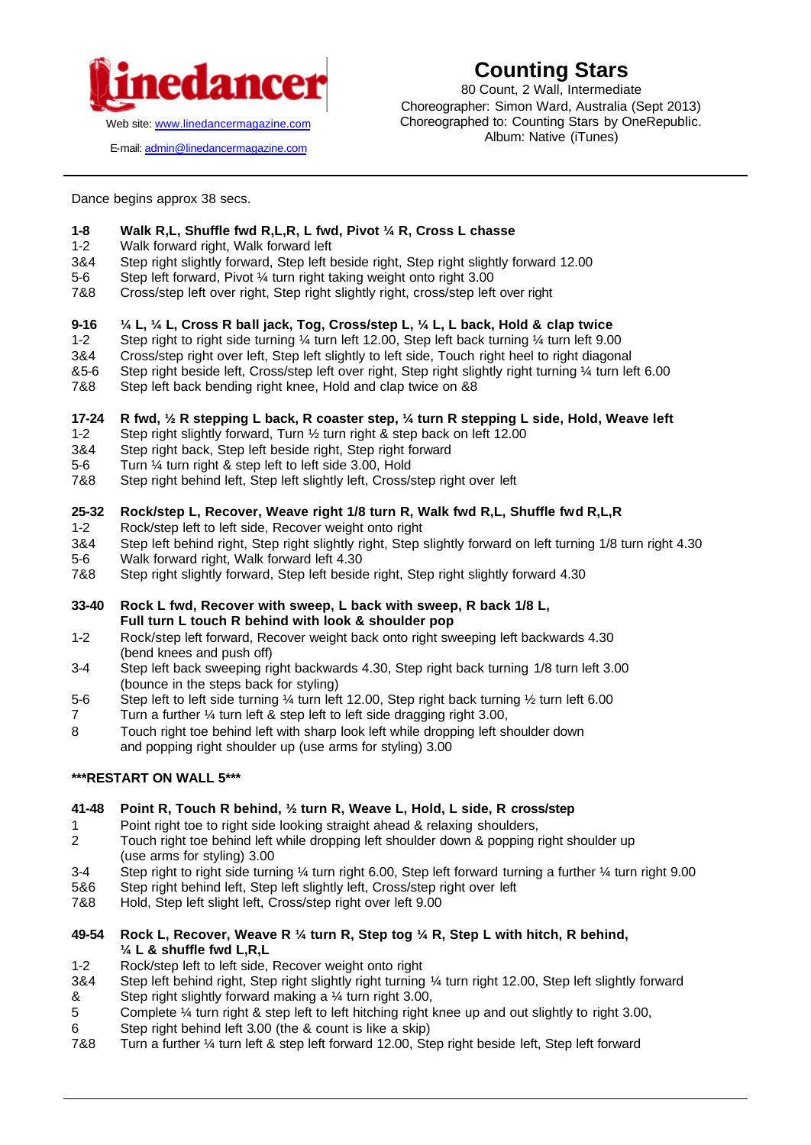

E-mail: admin@linedancermagazine.com

# **Counting Stars**

80 Count, 2 Wall, Intermediate Choreographer: Simon Ward, Australia (Sept 2013) Choreographed to: Counting Stars by OneRepublic. Album: Native (iTunes)

Dance begins approx 38 secs.

# **1-8 Walk R,L, Shuffle fwd R,L,R, L fwd, Pivot ¼ R, Cross L chasse**

- 1-2 Walk forward right, Walk forward left
- 3&4 Step right slightly forward, Step left beside right, Step right slightly forward 12.00
- 5-6 Step left forward, Pivot ¼ turn right taking weight onto right 3.00
- 7&8 Cross/step left over right, Step right slightly right, cross/step left over right

# **9-16 ¼ L, ¼ L, Cross R ball jack, Tog, Cross/step L, ¼ L, L back, Hold & clap twice**

- 1-2 Step right to right side turning ¼ turn left 12.00, Step left back turning ¼ turn left 9.00
- 3&4 Cross/step right over left, Step left slightly to left side, Touch right heel to right diagonal
- &5-6 Step right beside left, Cross/step left over right, Step right slightly right turning ¼ turn left 6.00
- 7&8 Step left back bending right knee, Hold and clap twice on &8

# **17-24 R fwd, ½ R stepping L back, R coaster step, ¼ turn R stepping L side, Hold, Weave left**

- 1-2 Step right slightly forward, Turn ½ turn right & step back on left 12.00
- 3&4 Step right back, Step left beside right, Step right forward
- 5-6 Turn ¼ turn right & step left to left side 3.00, Hold
- 7&8 Step right behind left, Step left slightly left, Cross/step right over left

# **25-32 Rock/step L, Recover, Weave right 1/8 turn R, Walk fwd R,L, Shuffle fwd R,L,R**

- 1-2 Rock/step left to left side, Recover weight onto right
- 3&4 Step left behind right, Step right slightly right, Step slightly forward on left turning 1/8 turn right 4.30
- 5-6 Walk forward right, Walk forward left 4.30
- 7&8 Step right slightly forward, Step left beside right, Step right slightly forward 4.30
- **33-40 Rock L fwd, Recover with sweep, L back with sweep, R back 1/8 L, Full turn L touch R behind with look & shoulder pop**
- 1-2 Rock/step left forward, Recover weight back onto right sweeping left backwards 4.30 (bend knees and push off)
- 3-4 Step left back sweeping right backwards 4.30, Step right back turning 1/8 turn left 3.00 (bounce in the steps back for styling)
- 5-6 Step left to left side turning 1/4 turn left 12.00, Step right back turning 1/2 turn left 6.00
- 7 Turn a further 1/4 turn left & step left to left side dragging right 3.00,
- 8 Touch right toe behind left with sharp look left while dropping left shoulder down and popping right shoulder up (use arms for styling) 3.00

#### **\*\*\*RESTART ON WALL 5\*\*\***

- **41-48 Point R, Touch R behind, ½ turn R, Weave L, Hold, L side, R cross/step**
- 1 Point right toe to right side looking straight ahead & relaxing shoulders,
- 2 Touch right toe behind left while dropping left shoulder down & popping right shoulder up (use arms for styling) 3.00
- 3-4 Step right to right side turning ¼ turn right 6.00, Step left forward turning a further ¼ turn right 9.00
- 5&6 Step right behind left, Step left slightly left, Cross/step right over left
- 7&8 Hold, Step left slight left, Cross/step right over left 9.00
- **49-54 Rock L, Recover, Weave R ¼ turn R, Step tog ¼ R, Step L with hitch, R behind, ¼ L & shuffle fwd L,R,L**
- 1-2 Rock/step left to left side, Recover weight onto right
- 3&4 Step left behind right, Step right slightly right turning ¼ turn right 12.00, Step left slightly forward & Step right slightly forward making a ¼ turn right 3.00,
- 5 Complete ¼ turn right & step left to left hitching right knee up and out slightly to right 3.00,
- 6 Step right behind left 3.00 (the & count is like a skip)
- 7&8 Turn a further ¼ turn left & step left forward 12.00, Step right beside left, Step left forward